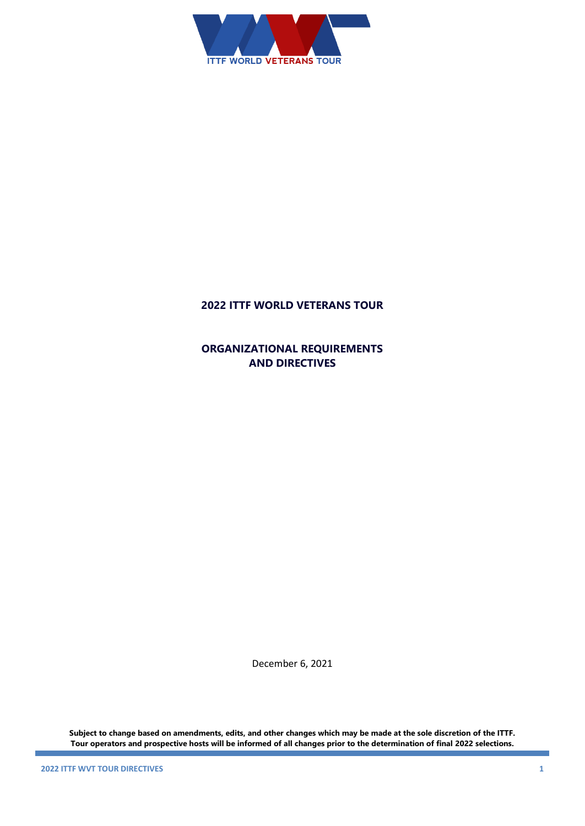

## **2022 ITTF WORLD VETERANS TOUR**

**ORGANIZATIONAL REQUIREMENTS AND DIRECTIVES**

December 6, 2021

**Subject to change based on amendments, edits, and other changes which may be made at the sole discretion of the ITTF. Tour operators and prospective hosts will be informed of all changes prior to the determination of final 2022 selections.**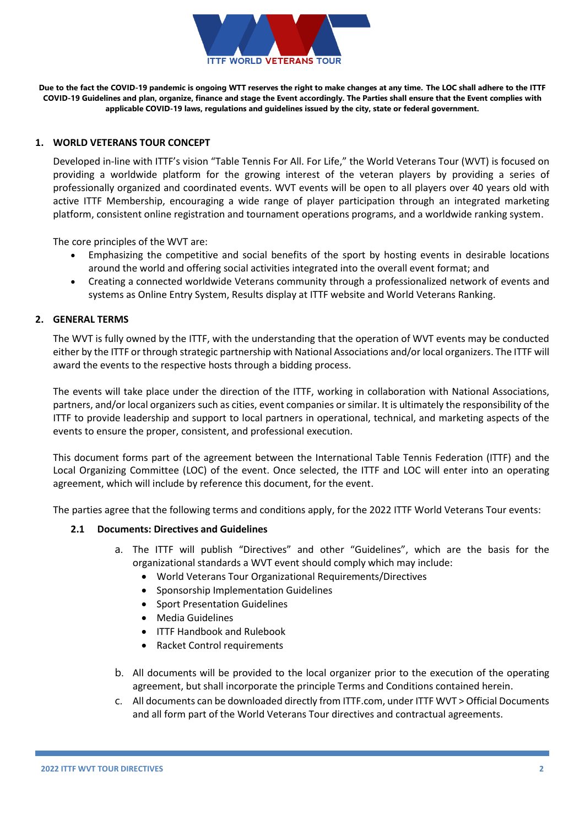

**Due to the fact the COVID-19 pandemic is ongoing WTT reserves the right to make changes at any time. The LOC shall adhere to the ITTF COVID-19 Guidelines and plan, organize, finance and stage the Event accordingly. The Parties shall ensure that the Event complies with applicable COVID-19 laws, regulations and guidelines issued by the city, state or federal government.**

## **1. WORLD VETERANS TOUR CONCEPT**

Developed in-line with ITTF's vision "Table Tennis For All. For Life," the World Veterans Tour (WVT) is focused on providing a worldwide platform for the growing interest of the veteran players by providing a series of professionally organized and coordinated events. WVT events will be open to all players over 40 years old with active ITTF Membership, encouraging a wide range of player participation through an integrated marketing platform, consistent online registration and tournament operations programs, and a worldwide ranking system.

The core principles of the WVT are:

- Emphasizing the competitive and social benefits of the sport by hosting events in desirable locations around the world and offering social activities integrated into the overall event format; and
- Creating a connected worldwide Veterans community through a professionalized network of events and systems as Online Entry System, Results display at ITTF website and World Veterans Ranking.

## **2. GENERAL TERMS**

The WVT is fully owned by the ITTF, with the understanding that the operation of WVT events may be conducted either by the ITTF or through strategic partnership with National Associations and/or local organizers. The ITTF will award the events to the respective hosts through a bidding process.

The events will take place under the direction of the ITTF, working in collaboration with National Associations, partners, and/or local organizers such as cities, event companies or similar. It is ultimately the responsibility of the ITTF to provide leadership and support to local partners in operational, technical, and marketing aspects of the events to ensure the proper, consistent, and professional execution.

This document forms part of the agreement between the International Table Tennis Federation (ITTF) and the Local Organizing Committee (LOC) of the event. Once selected, the ITTF and LOC will enter into an operating agreement, which will include by reference this document, for the event.

The parties agree that the following terms and conditions apply, for the 2022 ITTF World Veterans Tour events:

## **2.1 Documents: Directives and Guidelines**

- a. The ITTF will publish "Directives" and other "Guidelines", which are the basis for the organizational standards a WVT event should comply which may include:
	- World Veterans Tour Organizational Requirements/Directives
	- Sponsorship Implementation Guidelines
	- Sport Presentation Guidelines
	- Media Guidelines
	- ITTF Handbook and Rulebook
	- Racket Control requirements
- b. All documents will be provided to the local organizer prior to the execution of the operating agreement, but shall incorporate the principle Terms and Conditions contained herein.
- c. All documents can be downloaded directly from ITTF.com, under ITTF WVT > Official Documents and all form part of the World Veterans Tour directives and contractual agreements.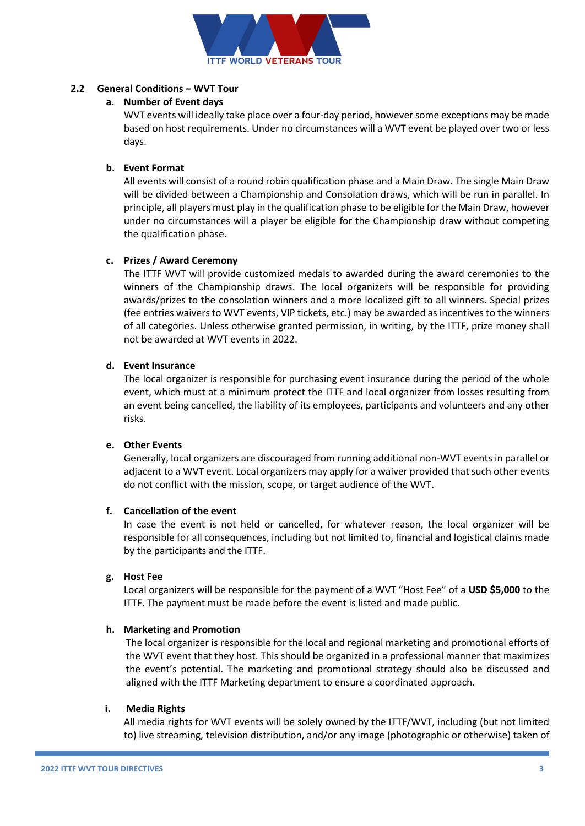

## **2.2 General Conditions – WVT Tour**

## **a. Number of Event days**

WVT events will ideally take place over a four-day period, however some exceptions may be made based on host requirements. Under no circumstances will a WVT event be played over two or less days.

## **b. Event Format**

All events will consist of a round robin qualification phase and a Main Draw. The single Main Draw will be divided between a Championship and Consolation draws, which will be run in parallel. In principle, all players must play in the qualification phase to be eligible for the Main Draw, however under no circumstances will a player be eligible for the Championship draw without competing the qualification phase.

## **c. Prizes / Award Ceremony**

The ITTF WVT will provide customized medals to awarded during the award ceremonies to the winners of the Championship draws. The local organizers will be responsible for providing awards/prizes to the consolation winners and a more localized gift to all winners. Special prizes (fee entries waivers to WVT events, VIP tickets, etc.) may be awarded as incentives to the winners of all categories. Unless otherwise granted permission, in writing, by the ITTF, prize money shall not be awarded at WVT events in 2022.

## **d. Event Insurance**

The local organizer is responsible for purchasing event insurance during the period of the whole event, which must at a minimum protect the ITTF and local organizer from losses resulting from an event being cancelled, the liability of its employees, participants and volunteers and any other risks.

## **e. Other Events**

Generally, local organizers are discouraged from running additional non-WVT events in parallel or adjacent to a WVT event. Local organizers may apply for a waiver provided that such other events do not conflict with the mission, scope, or target audience of the WVT.

## **f. Cancellation of the event**

In case the event is not held or cancelled, for whatever reason, the local organizer will be responsible for all consequences, including but not limited to, financial and logistical claims made by the participants and the ITTF.

## **g. Host Fee**

Local organizers will be responsible for the payment of a WVT "Host Fee" of a **USD \$5,000** to the ITTF. The payment must be made before the event is listed and made public.

## **h. Marketing and Promotion**

The local organizer is responsible for the local and regional marketing and promotional efforts of the WVT event that they host. This should be organized in a professional manner that maximizes the event's potential. The marketing and promotional strategy should also be discussed and aligned with the ITTF Marketing department to ensure a coordinated approach.

## **i. Media Rights**

All media rights for WVT events will be solely owned by the ITTF/WVT, including (but not limited to) live streaming, television distribution, and/or any image (photographic or otherwise) taken of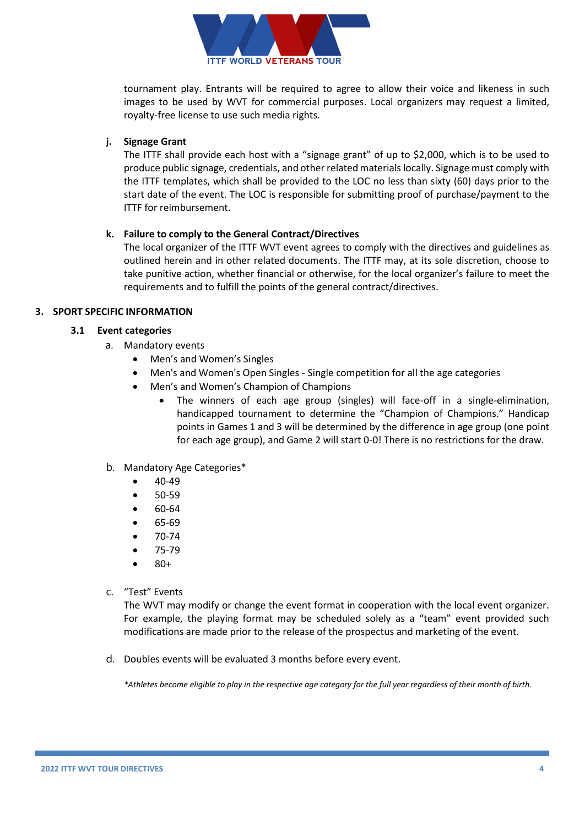

tournament play. Entrants will be required to agree to allow their voice and likeness in such images to be used by WVT for commercial purposes. Local organizers may request a limited, royalty-free license to use such media rights.

## **j. Signage Grant**

The ITTF shall provide each host with a "signage grant" of up to \$2,000, which is to be used to produce public signage, credentials, and other related materials locally. Signage must comply with the ITTF templates, which shall be provided to the LOC no less than sixty (60) days prior to the start date of the event. The LOC is responsible for submitting proof of purchase/payment to the ITTF for reimbursement.

## **k. Failure to comply to the General Contract/Directives**

The local organizer of the ITTF WVT event agrees to comply with the directives and guidelines as outlined herein and in other related documents. The ITTF may, at its sole discretion, choose to take punitive action, whether financial or otherwise, for the local organizer's failure to meet the requirements and to fulfill the points of the general contract/directives.

## **3. SPORT SPECIFIC INFORMATION**

## **3.1 Event categories**

- a. Mandatory events
	- Men's and Women's Singles
	- Men's and Women's Open Singles Single competition for all the age categories
	- Men's and Women's Champion of Champions
		- The winners of each age group (singles) will face-off in a single-elimination, handicapped tournament to determine the "Champion of Champions." Handicap points in Games 1 and 3 will be determined by the difference in age group (one point for each age group), and Game 2 will start 0-0! There is no restrictions for the draw.
- b. Mandatory Age Categories\*
	- 40-49
	- 50-59
	- 60-64
	- 65-69
	- 70-74
	- 75-79
	- 80+
- c. "Test" Events

The WVT may modify or change the event format in cooperation with the local event organizer. For example, the playing format may be scheduled solely as a "team" event provided such modifications are made prior to the release of the prospectus and marketing of the event.

d. Doubles events will be evaluated 3 months before every event.

*\*Athletes become eligible to play in the respective age category for the full year regardless of their month of birth.*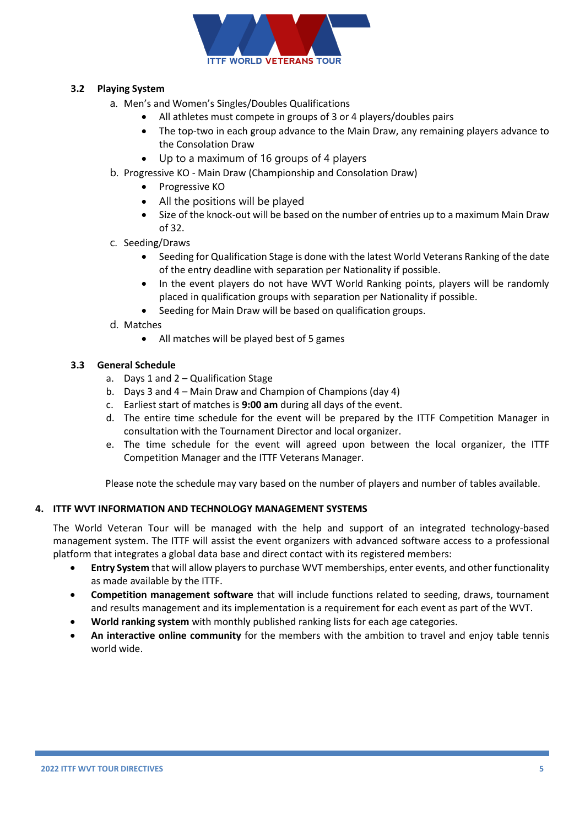

## **3.2 Playing System**

- a. Men's and Women's Singles/Doubles Qualifications
	- All athletes must compete in groups of 3 or 4 players/doubles pairs
	- The top-two in each group advance to the Main Draw, any remaining players advance to the Consolation Draw
	- Up to a maximum of 16 groups of 4 players
- b. Progressive KO Main Draw (Championship and Consolation Draw)
	- Progressive KO
	- All the positions will be played
	- Size of the knock-out will be based on the number of entries up to a maximum Main Draw of 32.
- c. Seeding/Draws
	- Seeding for Qualification Stage is done with the latest World Veterans Ranking of the date of the entry deadline with separation per Nationality if possible.
	- In the event players do not have WVT World Ranking points, players will be randomly placed in qualification groups with separation per Nationality if possible.
	- Seeding for Main Draw will be based on qualification groups.
- d. Matches
	- All matches will be played best of 5 games

## **3.3 General Schedule**

- a. Days 1 and 2 Qualification Stage
- b. Days 3 and 4 Main Draw and Champion of Champions (day 4)
- c. Earliest start of matches is **9:00 am** during all days of the event.
- d. The entire time schedule for the event will be prepared by the ITTF Competition Manager in consultation with the Tournament Director and local organizer.
- e. The time schedule for the event will agreed upon between the local organizer, the ITTF Competition Manager and the ITTF Veterans Manager.

Please note the schedule may vary based on the number of players and number of tables available.

## **4. ITTF WVT INFORMATION AND TECHNOLOGY MANAGEMENT SYSTEMS**

The World Veteran Tour will be managed with the help and support of an integrated technology-based management system. The ITTF will assist the event organizers with advanced software access to a professional platform that integrates a global data base and direct contact with its registered members:

- **Entry System** that will allow players to purchase WVT memberships, enter events, and other functionality as made available by the ITTF.
- **Competition management software** that will include functions related to seeding, draws, tournament and results management and its implementation is a requirement for each event as part of the WVT.
- **World ranking system** with monthly published ranking lists for each age categories.
- **An interactive online community** for the members with the ambition to travel and enjoy table tennis world wide.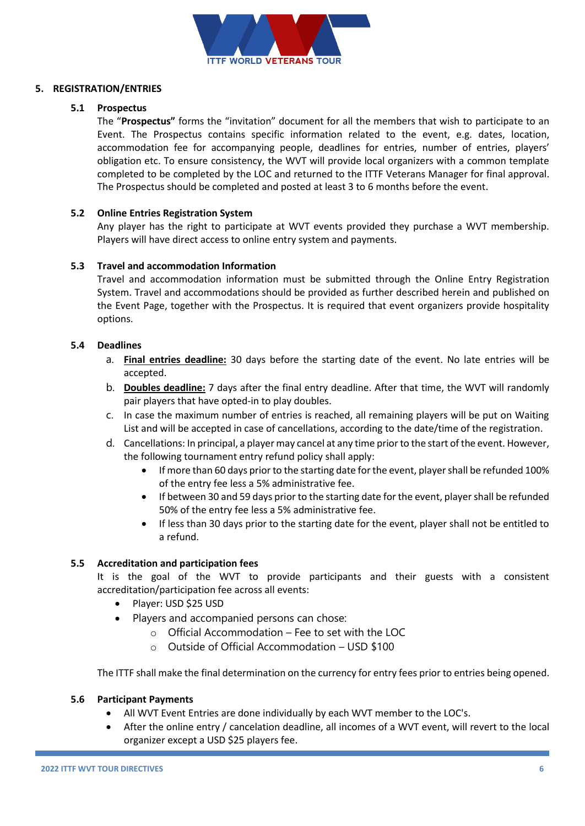

## **5. REGISTRATION/ENTRIES**

## **5.1 Prospectus**

The "**Prospectus"** forms the "invitation" document for all the members that wish to participate to an Event. The Prospectus contains specific information related to the event, e.g. dates, location, accommodation fee for accompanying people, deadlines for entries, number of entries, players' obligation etc. To ensure consistency, the WVT will provide local organizers with a common template completed to be completed by the LOC and returned to the ITTF Veterans Manager for final approval. The Prospectus should be completed and posted at least 3 to 6 months before the event.

## **5.2 Online Entries Registration System**

Any player has the right to participate at WVT events provided they purchase a WVT membership. Players will have direct access to online entry system and payments.

## **5.3 Travel and accommodation Information**

Travel and accommodation information must be submitted through the Online Entry Registration System. Travel and accommodations should be provided as further described herein and published on the Event Page, together with the Prospectus. It is required that event organizers provide hospitality options.

## **5.4 Deadlines**

- a. **Final entries deadline:** 30 days before the starting date of the event. No late entries will be accepted.
- b. **Doubles deadline:** 7 days after the final entry deadline. After that time, the WVT will randomly pair players that have opted-in to play doubles.
- c. In case the maximum number of entries is reached, all remaining players will be put on Waiting List and will be accepted in case of cancellations, according to the date/time of the registration.
- d. Cancellations: In principal, a player may cancel at any time prior to the start of the event. However, the following tournament entry refund policy shall apply:
	- If more than 60 days prior to the starting date for the event, player shall be refunded 100% of the entry fee less a 5% administrative fee.
	- If between 30 and 59 days prior to the starting date for the event, player shall be refunded 50% of the entry fee less a 5% administrative fee.
	- If less than 30 days prior to the starting date for the event, player shall not be entitled to a refund.

## **5.5 Accreditation and participation fees**

It is the goal of the WVT to provide participants and their guests with a consistent accreditation/participation fee across all events:

- Player: USD \$25 USD
- Players and accompanied persons can chose:
	- $\circ$  Official Accommodation Fee to set with the LOC
	- o Outside of Official Accommodation USD \$100

The ITTF shall make the final determination on the currency for entry fees prior to entries being opened.

## **5.6 Participant Payments**

- All WVT Event Entries are done individually by each WVT member to the LOC's.
- After the online entry / cancelation deadline, all incomes of a WVT event, will revert to the local organizer except a USD \$25 players fee.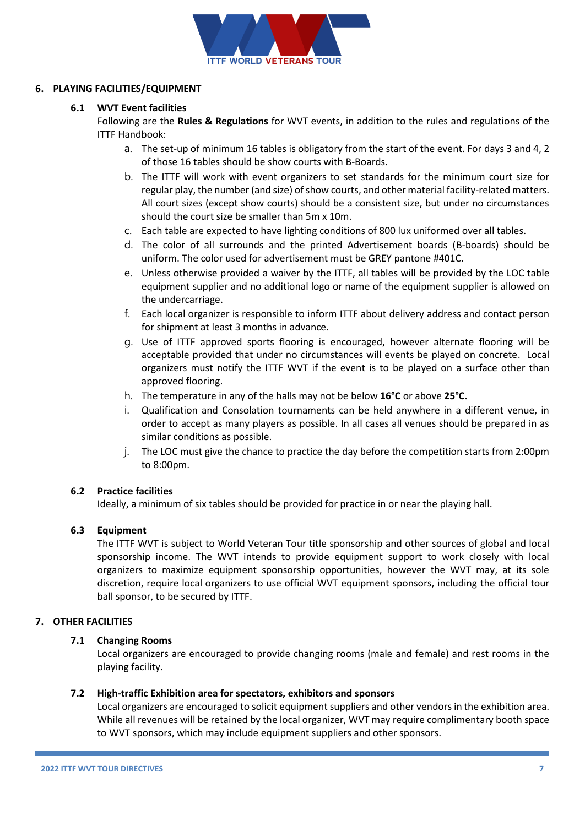

## **6. PLAYING FACILITIES/EQUIPMENT**

## **6.1 WVT Event facilities**

Following are the **Rules & Regulations** for WVT events, in addition to the rules and regulations of the ITTF Handbook:

- a. The set-up of minimum 16 tables is obligatory from the start of the event. For days 3 and 4, 2 of those 16 tables should be show courts with B-Boards.
- b. The ITTF will work with event organizers to set standards for the minimum court size for regular play, the number (and size) of show courts, and other material facility-related matters. All court sizes (except show courts) should be a consistent size, but under no circumstances should the court size be smaller than 5m x 10m.
- c. Each table are expected to have lighting conditions of 800 lux uniformed over all tables.
- d. The color of all surrounds and the printed Advertisement boards (B-boards) should be uniform. The color used for advertisement must be GREY pantone #401C.
- e. Unless otherwise provided a waiver by the ITTF, all tables will be provided by the LOC table equipment supplier and no additional logo or name of the equipment supplier is allowed on the undercarriage.
- f. Each local organizer is responsible to inform ITTF about delivery address and contact person for shipment at least 3 months in advance.
- g. Use of ITTF approved sports flooring is encouraged, however alternate flooring will be acceptable provided that under no circumstances will events be played on concrete. Local organizers must notify the ITTF WVT if the event is to be played on a surface other than approved flooring.
- h. The temperature in any of the halls may not be below **16°C** or above **25°C.**
- i. Qualification and Consolation tournaments can be held anywhere in a different venue, in order to accept as many players as possible. In all cases all venues should be prepared in as similar conditions as possible.
- j. The LOC must give the chance to practice the day before the competition starts from 2:00pm to 8:00pm.

## **6.2 Practice facilities**

Ideally, a minimum of six tables should be provided for practice in or near the playing hall.

## **6.3 Equipment**

The ITTF WVT is subject to World Veteran Tour title sponsorship and other sources of global and local sponsorship income. The WVT intends to provide equipment support to work closely with local organizers to maximize equipment sponsorship opportunities, however the WVT may, at its sole discretion, require local organizers to use official WVT equipment sponsors, including the official tour ball sponsor, to be secured by ITTF.

## **7. OTHER FACILITIES**

## **7.1 Changing Rooms**

Local organizers are encouraged to provide changing rooms (male and female) and rest rooms in the playing facility.

## **7.2 High-traffic Exhibition area for spectators, exhibitors and sponsors**

Local organizers are encouraged to solicit equipment suppliers and other vendors in the exhibition area. While all revenues will be retained by the local organizer, WVT may require complimentary booth space to WVT sponsors, which may include equipment suppliers and other sponsors.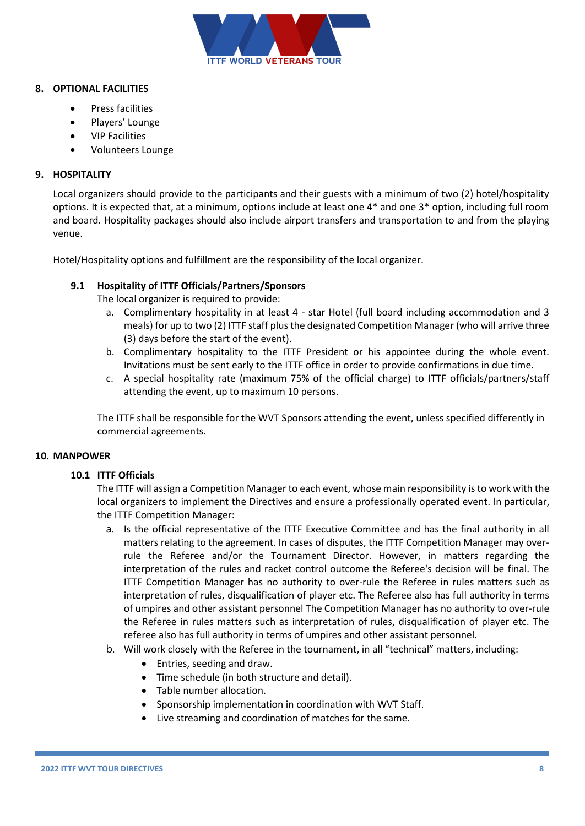

## **8. OPTIONAL FACILITIES**

- Press facilities
- Players' Lounge
- VIP Facilities
- Volunteers Lounge

## **9. HOSPITALITY**

Local organizers should provide to the participants and their guests with a minimum of two (2) hotel/hospitality options. It is expected that, at a minimum, options include at least one 4\* and one 3\* option, including full room and board. Hospitality packages should also include airport transfers and transportation to and from the playing venue.

Hotel/Hospitality options and fulfillment are the responsibility of the local organizer.

## **9.1 Hospitality of ITTF Officials/Partners/Sponsors**

The local organizer is required to provide:

- a. Complimentary hospitality in at least 4 star Hotel (full board including accommodation and 3 meals) for up to two (2) ITTF staff plus the designated Competition Manager (who will arrive three (3) days before the start of the event).
- b. Complimentary hospitality to the ITTF President or his appointee during the whole event. Invitations must be sent early to the ITTF office in order to provide confirmations in due time.
- c. A special hospitality rate (maximum 75% of the official charge) to ITTF officials/partners/staff attending the event, up to maximum 10 persons.

The ITTF shall be responsible for the WVT Sponsors attending the event, unless specified differently in commercial agreements.

## **10. MANPOWER**

## **10.1 ITTF Officials**

The ITTF will assign a Competition Manager to each event, whose main responsibility is to work with the local organizers to implement the Directives and ensure a professionally operated event. In particular, the ITTF Competition Manager:

- a. Is the official representative of the ITTF Executive Committee and has the final authority in all matters relating to the agreement. In cases of disputes, the ITTF Competition Manager may overrule the Referee and/or the Tournament Director. However, in matters regarding the interpretation of the rules and racket control outcome the Referee's decision will be final. The ITTF Competition Manager has no authority to over-rule the Referee in rules matters such as interpretation of rules, disqualification of player etc. The Referee also has full authority in terms of umpires and other assistant personnel The Competition Manager has no authority to over-rule the Referee in rules matters such as interpretation of rules, disqualification of player etc. The referee also has full authority in terms of umpires and other assistant personnel.
- b. Will work closely with the Referee in the tournament, in all "technical" matters, including:
	- Entries, seeding and draw.
	- Time schedule (in both structure and detail).
	- Table number allocation.
	- Sponsorship implementation in coordination with WVT Staff.
	- Live streaming and coordination of matches for the same.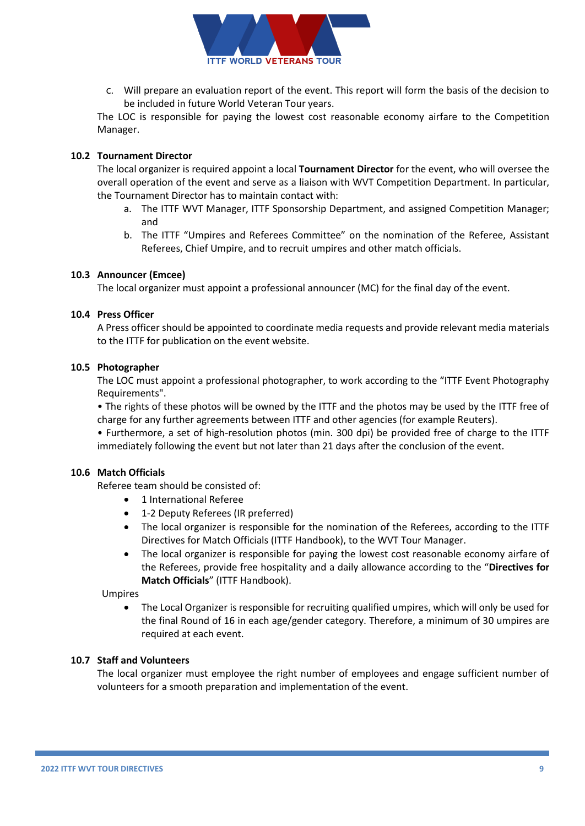

c. Will prepare an evaluation report of the event. This report will form the basis of the decision to be included in future World Veteran Tour years.

The LOC is responsible for paying the lowest cost reasonable economy airfare to the Competition Manager.

## **10.2 Tournament Director**

The local organizer is required appoint a local **Tournament Director** for the event, who will oversee the overall operation of the event and serve as a liaison with WVT Competition Department. In particular, the Tournament Director has to maintain contact with:

- a. The ITTF WVT Manager, ITTF Sponsorship Department, and assigned Competition Manager; and
- b. The ITTF "Umpires and Referees Committee" on the nomination of the Referee, Assistant Referees, Chief Umpire, and to recruit umpires and other match officials.

#### **10.3 Announcer (Emcee)**

The local organizer must appoint a professional announcer (MC) for the final day of the event.

#### **10.4 Press Officer**

A Press officer should be appointed to coordinate media requests and provide relevant media materials to the ITTF for publication on the event website.

#### **10.5 Photographer**

The LOC must appoint a professional photographer, to work according to the "ITTF Event Photography Requirements".

• The rights of these photos will be owned by the ITTF and the photos may be used by the ITTF free of charge for any further agreements between ITTF and other agencies (for example Reuters).

• Furthermore, a set of high-resolution photos (min. 300 dpi) be provided free of charge to the ITTF immediately following the event but not later than 21 days after the conclusion of the event.

#### **10.6 Match Officials**

Referee team should be consisted of:

- 1 International Referee
- 1-2 Deputy Referees (IR preferred)
- The local organizer is responsible for the nomination of the Referees, according to the ITTF Directives for Match Officials (ITTF Handbook), to the WVT Tour Manager.
- The local organizer is responsible for paying the lowest cost reasonable economy airfare of the Referees, provide free hospitality and a daily allowance according to the "**Directives for Match Officials**" (ITTF Handbook).

Umpires

• The Local Organizer is responsible for recruiting qualified umpires, which will only be used for the final Round of 16 in each age/gender category. Therefore, a minimum of 30 umpires are required at each event.

#### **10.7 Staff and Volunteers**

The local organizer must employee the right number of employees and engage sufficient number of volunteers for a smooth preparation and implementation of the event.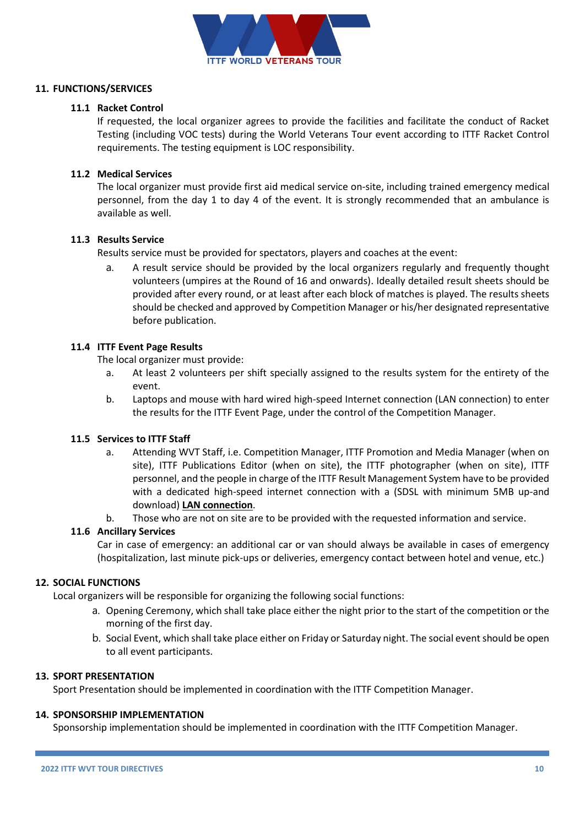

## **11. FUNCTIONS/SERVICES**

## **11.1 Racket Control**

If requested, the local organizer agrees to provide the facilities and facilitate the conduct of Racket Testing (including VOC tests) during the World Veterans Tour event according to ITTF Racket Control requirements. The testing equipment is LOC responsibility.

## **11.2 Medical Services**

The local organizer must provide first aid medical service on-site, including trained emergency medical personnel, from the day 1 to day 4 of the event. It is strongly recommended that an ambulance is available as well.

## **11.3 Results Service**

Results service must be provided for spectators, players and coaches at the event:

a. A result service should be provided by the local organizers regularly and frequently thought volunteers (umpires at the Round of 16 and onwards). Ideally detailed result sheets should be provided after every round, or at least after each block of matches is played. The results sheets should be checked and approved by Competition Manager or his/her designated representative before publication.

## **11.4 ITTF Event Page Results**

The local organizer must provide:

- a. At least 2 volunteers per shift specially assigned to the results system for the entirety of the event.
- b. Laptops and mouse with hard wired high-speed Internet connection (LAN connection) to enter the results for the ITTF Event Page, under the control of the Competition Manager.

## **11.5 Services to ITTF Staff**

- a. Attending WVT Staff, i.e. Competition Manager, ITTF Promotion and Media Manager (when on site), ITTF Publications Editor (when on site), the ITTF photographer (when on site), ITTF personnel, and the people in charge of the ITTF Result Management System have to be provided with a dedicated high-speed internet connection with a (SDSL with minimum 5MB up-and download) **LAN connection**.
- b. Those who are not on site are to be provided with the requested information and service.

## **11.6 Ancillary Services**

Car in case of emergency: an additional car or van should always be available in cases of emergency (hospitalization, last minute pick-ups or deliveries, emergency contact between hotel and venue, etc.)

## **12. SOCIAL FUNCTIONS**

Local organizers will be responsible for organizing the following social functions:

- a. Opening Ceremony, which shall take place either the night prior to the start of the competition or the morning of the first day.
- b. Social Event, which shall take place either on Friday or Saturday night. The social event should be open to all event participants.

## **13. SPORT PRESENTATION**

Sport Presentation should be implemented in coordination with the ITTF Competition Manager.

## **14. SPONSORSHIP IMPLEMENTATION**

Sponsorship implementation should be implemented in coordination with the ITTF Competition Manager.